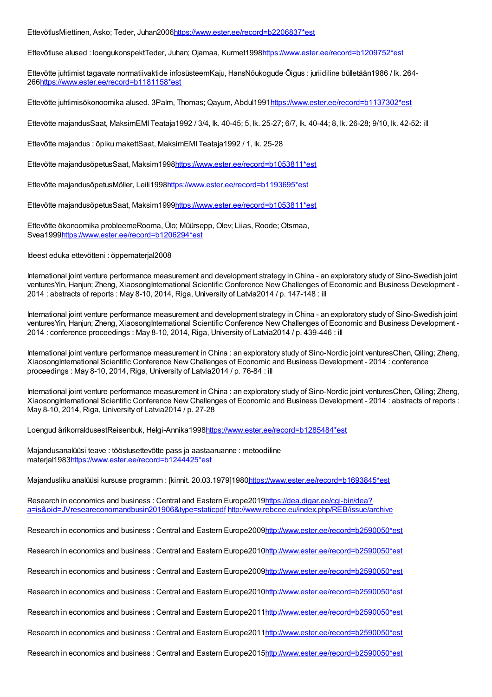EttevõtlusMiettinen, Asko; Teder, Juhan200[6https://www.ester.ee/record=b2206837\\*est](https://www.ester.ee/record=b2206837*est)

Ettevõtluse alused : loengukonspektTeder, Juhan; Ojamaa, Kurmet199[8https://www.ester.ee/record=b1209752\\*est](https://www.ester.ee/record=b1209752*est)

Ettevõtte juhtimist tagavate normatiivaktide infosüsteemKaju, HansNõukogude Õigus : juriidiline bülletään1986 / lk. 264- 26[6https://www.ester.ee/record=b1181158\\*est](https://www.ester.ee/record=b1181158*est)

Ettevõtte juhtimisökonoomika alused. 3Palm, Thomas; Qayum, Abdul199[1https://www.ester.ee/record=b1137302\\*est](https://www.ester.ee/record=b1137302*est)

Ettevõtte majandusSaat, MaksimEMI Teataja1992 / 3/4, lk. 40-45; 5, lk. 25-27; 6/7, lk. 40-44; 8, lk. 26-28; 9/10, lk. 42-52: ill

Ettevõtte majandus : õpiku makettSaat, MaksimEMI Teataja1992 / 1, lk. 25-28

Ettevõtte majandusõpetusSaat, Maksim1998[https://www.ester.ee/record=b1053811\\*est](https://www.ester.ee/record=b1053811*est)

Ettevõtte majandusõpetusMöller, Leili199[8https://www.ester.ee/record=b1193695\\*est](https://www.ester.ee/record=b1193695*est)

Ettevõtte majandusõpetusSaat, Maksim1999[https://www.ester.ee/record=b1053811\\*est](https://www.ester.ee/record=b1053811*est)

Ettevõtte ökonoomika probleemeRooma, Ülo; Müürsepp, Olev; Liias, Roode; Otsmaa, Svea199[9https://www.ester.ee/record=b1206294\\*est](https://www.ester.ee/record=b1206294*est)

Ideest eduka ettevõtteni : õppematerjal2008

International joint venture performance measurement and development strategy in China - an exploratory study of Sino-Swedish joint venturesYin, Hanjun; Zheng, XiaosongInternational Scientific Conference New Challenges of Economic and Business Development -2014 : abstracts of reports : May 8-10, 2014, Riga, University of Latvia2014 / p. 147-148 : ill

International joint venture performance measurement and development strategy in China - an exploratory study of Sino-Swedish joint ventures Yin, Hanjun; Zheng, Xiaosong International Scientific Conference New Challenges of Economic and Business Development -2014 : conference proceedings : May 8-10, 2014, Riga, University of Latvia2014 / p. 439-446 : ill

International joint venture performance measurement in China : an exploratory study of Sino-Nordic joint venturesChen, Qiling; Zheng, XiaosongInternational Scientific Conference New Challenges of Economic and Business Development - 2014 : conference proceedings : May 8-10, 2014, Riga, University of Latvia2014 / p. 76-84 : ill

International joint venture performance measurement in China : an exploratory study of Sino-Nordic joint venturesChen, Qiling; Zheng, XiaosongInternational Scientific Conference New Challenges of Economic and Business Development - 2014 : abstracts of reports : May 8-10, 2014, Riga, University of Latvia2014 / p. 27-28

Loengud ärikorraldusestReisenbuk, Helgi-Annika1998[https://www.ester.ee/record=b1285484\\*est](https://www.ester.ee/record=b1285484*est)

Majandusanalüüsi teave : tööstusettevõtte pass ja aastaaruanne : metoodiline materjal198[3https://www.ester.ee/record=b1244425\\*est](https://www.ester.ee/record=b1244425*est)

Majandusliku analüüsi kursuse programm : [kinnit. 20.03.1979]198[0https://www.ester.ee/record=b1693845\\*est](https://www.ester.ee/record=b1693845*est)

Research in economics and business : Central and Eastern Europe2019https://dea.digar.ee/cgi-bin/dea? [a=is&oid=JVreseareconomandbusin201906&type=staticpdf](https://dea.digar.ee/cgi-bin/dea?a=is&oid=JVreseareconomandbusin201906&type=staticpdf) <http://www.rebcee.eu/index.php/REB/issue/archive>

Research in economics and business : Central and Eastern Europe2009[http://www.ester.ee/record=b2590050\\*est](http://www.ester.ee/record=b2590050*est)

Research in economics and business : Central and Eastern Europe2010[http://www.ester.ee/record=b2590050\\*est](http://www.ester.ee/record=b2590050*est)

Research in economics and business : Central and Eastern Europe2009[http://www.ester.ee/record=b2590050\\*est](http://www.ester.ee/record=b2590050*est)

Research in economics and business : Central and Eastern Europe2010[http://www.ester.ee/record=b2590050\\*est](http://www.ester.ee/record=b2590050*est)

Research in economics and business : Central and Eastern Europe2011[http://www.ester.ee/record=b2590050\\*est](http://www.ester.ee/record=b2590050*est)

Research in economics and business : Central and Eastern Europe2011[http://www.ester.ee/record=b2590050\\*est](http://www.ester.ee/record=b2590050*est)

Research in economics and business : Central and Eastern Europe2015[http://www.ester.ee/record=b2590050\\*est](http://www.ester.ee/record=b2590050*est)